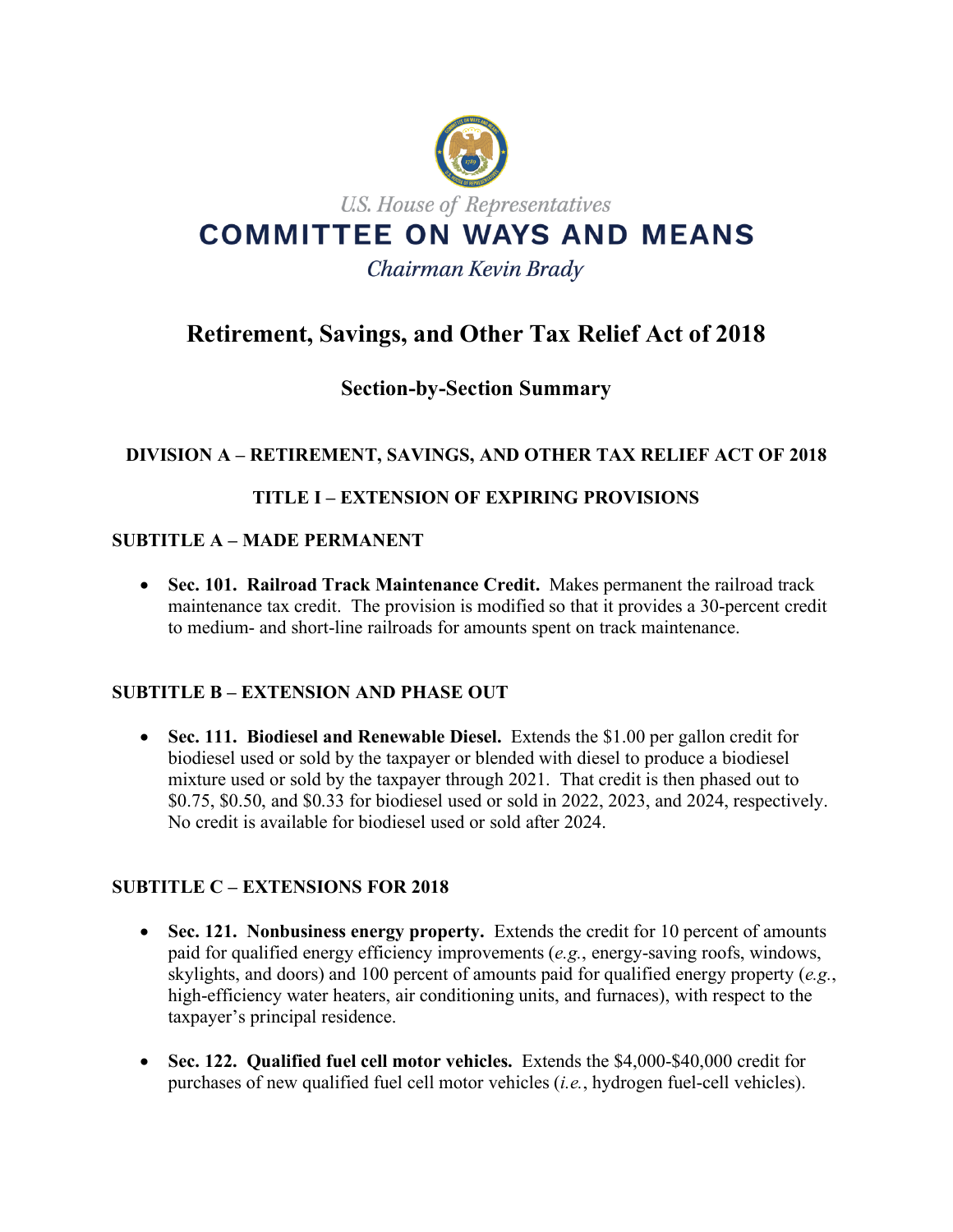

# **Retirement, Savings, and Other Tax Relief Act of 2018**

## **Section-by-Section Summary**

## **DIVISION A – RETIREMENT, SAVINGS, AND OTHER TAX RELIEF ACT OF 2018**

## **TITLE I – EXTENSION OF EXPIRING PROVISIONS**

#### **SUBTITLE A – MADE PERMANENT**

• **Sec. 101. Railroad Track Maintenance Credit.** Makes permanent the railroad track maintenance tax credit. The provision is modified so that it provides a 30-percent credit to medium- and short-line railroads for amounts spent on track maintenance.

## **SUBTITLE B – EXTENSION AND PHASE OUT**

• **Sec. 111. Biodiesel and Renewable Diesel.** Extends the \$1.00 per gallon credit for biodiesel used or sold by the taxpayer or blended with diesel to produce a biodiesel mixture used or sold by the taxpayer through 2021. That credit is then phased out to \$0.75, \$0.50, and \$0.33 for biodiesel used or sold in 2022, 2023, and 2024, respectively. No credit is available for biodiesel used or sold after 2024.

## **SUBTITLE C – EXTENSIONS FOR 2018**

- **Sec. 121. Nonbusiness energy property.** Extends the credit for 10 percent of amounts paid for qualified energy efficiency improvements (*e.g.*, energy-saving roofs, windows, skylights, and doors) and 100 percent of amounts paid for qualified energy property (*e.g.*, high-efficiency water heaters, air conditioning units, and furnaces), with respect to the taxpayer's principal residence.
- **Sec. 122. Qualified fuel cell motor vehicles.** Extends the \$4,000-\$40,000 credit for purchases of new qualified fuel cell motor vehicles (*i.e.*, hydrogen fuel-cell vehicles).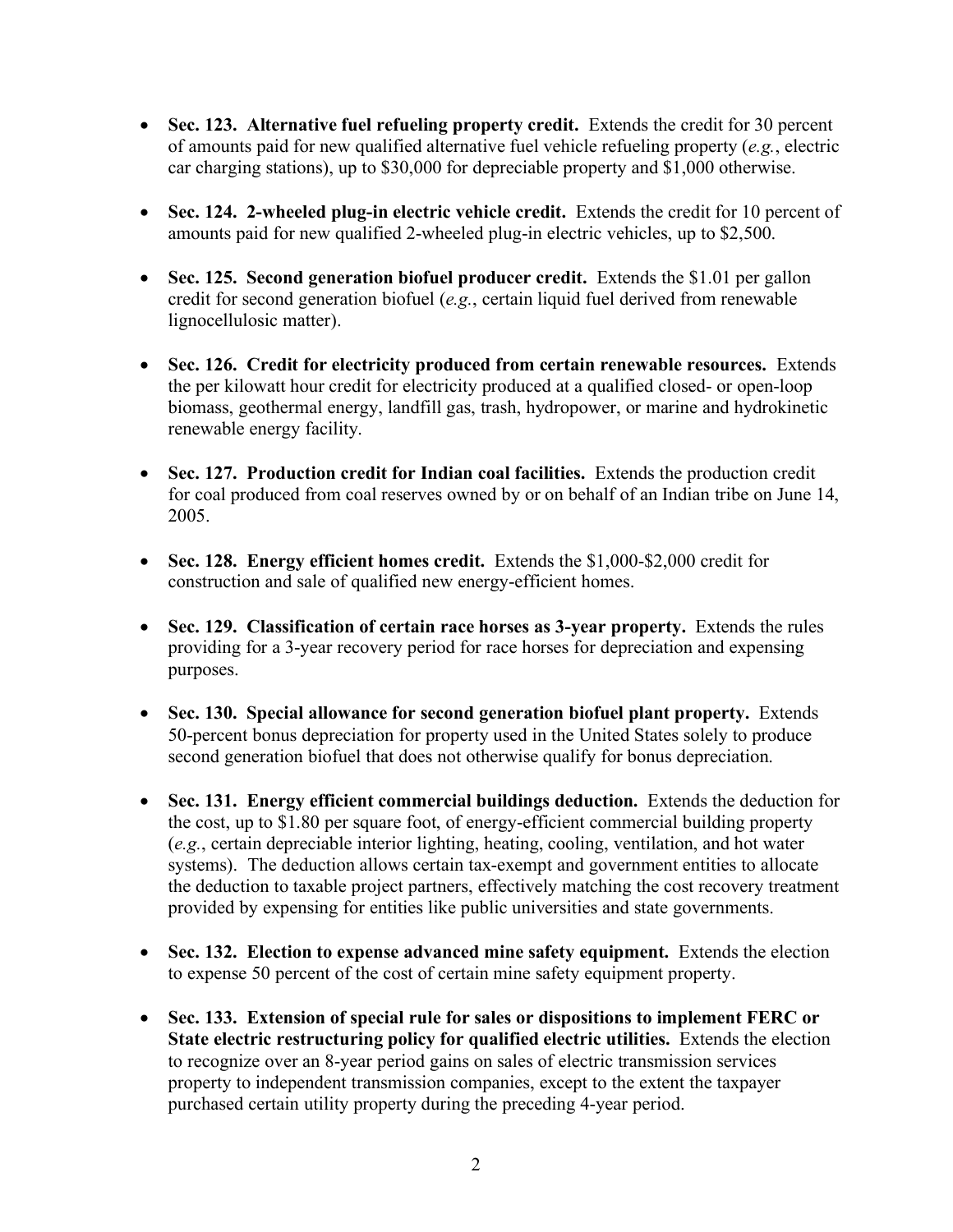- **Sec. 123. Alternative fuel refueling property credit.** Extends the credit for 30 percent of amounts paid for new qualified alternative fuel vehicle refueling property (*e.g.*, electric car charging stations), up to \$30,000 for depreciable property and \$1,000 otherwise.
- Sec. 124. 2-wheeled plug-in electric vehicle credit. Extends the credit for 10 percent of amounts paid for new qualified 2-wheeled plug-in electric vehicles, up to \$2,500.
- **Sec. 125. Second generation biofuel producer credit.** Extends the \$1.01 per gallon credit for second generation biofuel (*e.g.*, certain liquid fuel derived from renewable lignocellulosic matter).
- **Sec. 126. Credit for electricity produced from certain renewable resources.** Extends the per kilowatt hour credit for electricity produced at a qualified closed- or open-loop biomass, geothermal energy, landfill gas, trash, hydropower, or marine and hydrokinetic renewable energy facility.
- **Sec. 127. Production credit for Indian coal facilities.** Extends the production credit for coal produced from coal reserves owned by or on behalf of an Indian tribe on June 14, 2005.
- **Sec. 128. Energy efficient homes credit.** Extends the \$1,000-\$2,000 credit for construction and sale of qualified new energy-efficient homes.
- Sec. 129. Classification of certain race horses as 3-year property. Extends the rules providing for a 3-year recovery period for race horses for depreciation and expensing purposes.
- **Sec. 130. Special allowance for second generation biofuel plant property.** Extends 50-percent bonus depreciation for property used in the United States solely to produce second generation biofuel that does not otherwise qualify for bonus depreciation.
- **Sec. 131. Energy efficient commercial buildings deduction.** Extends the deduction for the cost, up to \$1.80 per square foot, of energy-efficient commercial building property (*e.g.*, certain depreciable interior lighting, heating, cooling, ventilation, and hot water systems). The deduction allows certain tax-exempt and government entities to allocate the deduction to taxable project partners, effectively matching the cost recovery treatment provided by expensing for entities like public universities and state governments.
- **Sec. 132. Election to expense advanced mine safety equipment.** Extends the election to expense 50 percent of the cost of certain mine safety equipment property.
- **Sec. 133. Extension of special rule for sales or dispositions to implement FERC or State electric restructuring policy for qualified electric utilities.** Extends the election to recognize over an 8-year period gains on sales of electric transmission services property to independent transmission companies, except to the extent the taxpayer purchased certain utility property during the preceding 4-year period.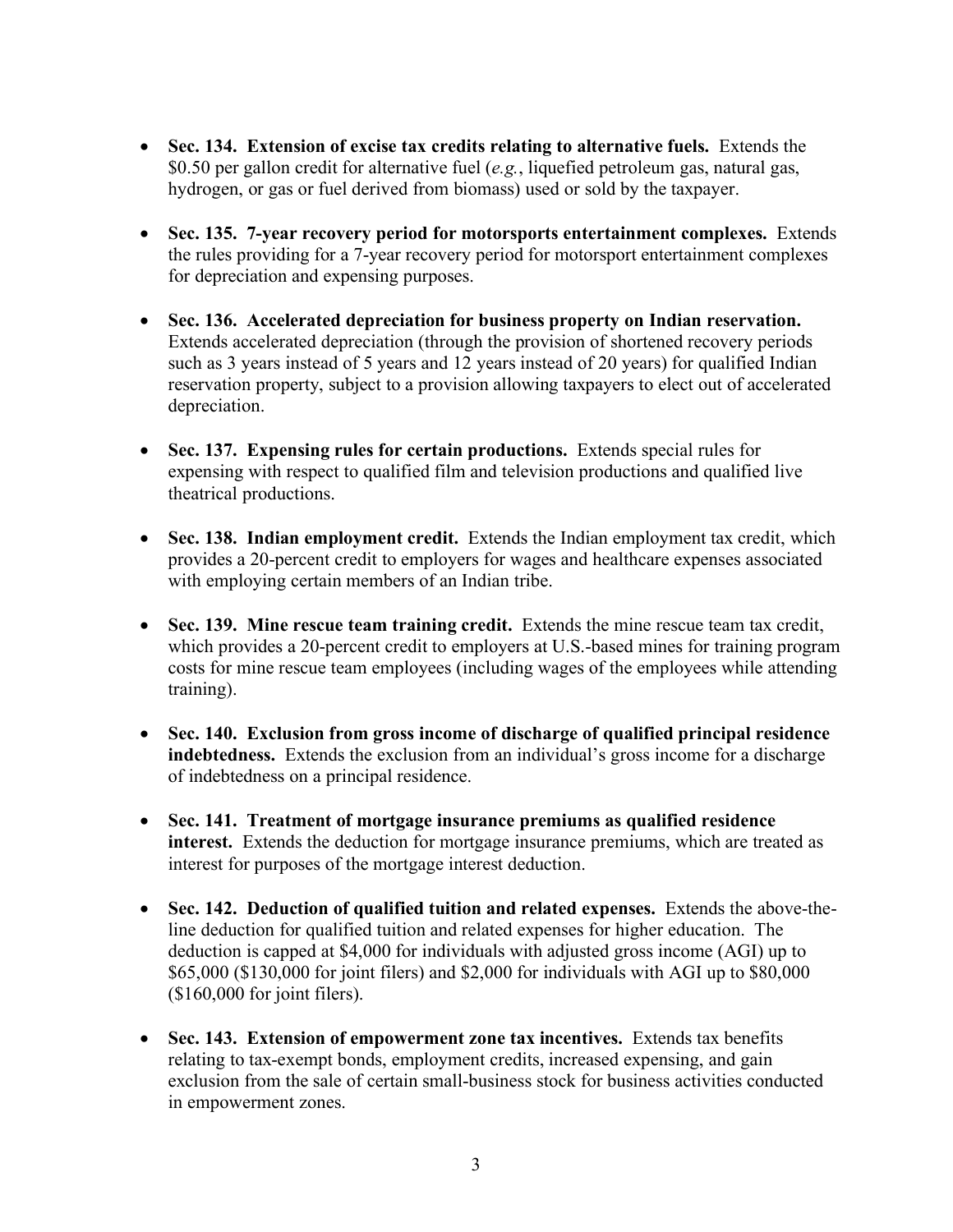- **Sec. 134. Extension of excise tax credits relating to alternative fuels.** Extends the \$0.50 per gallon credit for alternative fuel (*e.g.*, liquefied petroleum gas, natural gas, hydrogen, or gas or fuel derived from biomass) used or sold by the taxpayer.
- **Sec. 135. 7-year recovery period for motorsports entertainment complexes.** Extends the rules providing for a 7-year recovery period for motorsport entertainment complexes for depreciation and expensing purposes.
- **Sec. 136. Accelerated depreciation for business property on Indian reservation.**  Extends accelerated depreciation (through the provision of shortened recovery periods such as 3 years instead of 5 years and 12 years instead of 20 years) for qualified Indian reservation property, subject to a provision allowing taxpayers to elect out of accelerated depreciation.
- **Sec. 137. Expensing rules for certain productions.** Extends special rules for expensing with respect to qualified film and television productions and qualified live theatrical productions.
- **Sec. 138. Indian employment credit.** Extends the Indian employment tax credit, which provides a 20-percent credit to employers for wages and healthcare expenses associated with employing certain members of an Indian tribe.
- **Sec. 139. Mine rescue team training credit.** Extends the mine rescue team tax credit, which provides a 20-percent credit to employers at U.S.-based mines for training program costs for mine rescue team employees (including wages of the employees while attending training).
- **Sec. 140. Exclusion from gross income of discharge of qualified principal residence indebtedness.** Extends the exclusion from an individual's gross income for a discharge of indebtedness on a principal residence.
- **Sec. 141. Treatment of mortgage insurance premiums as qualified residence interest.** Extends the deduction for mortgage insurance premiums, which are treated as interest for purposes of the mortgage interest deduction.
- **Sec. 142. Deduction of qualified tuition and related expenses.** Extends the above-theline deduction for qualified tuition and related expenses for higher education. The deduction is capped at \$4,000 for individuals with adjusted gross income (AGI) up to \$65,000 (\$130,000 for joint filers) and \$2,000 for individuals with AGI up to \$80,000 (\$160,000 for joint filers).
- **Sec. 143. Extension of empowerment zone tax incentives.** Extends tax benefits relating to tax-exempt bonds, employment credits, increased expensing, and gain exclusion from the sale of certain small-business stock for business activities conducted in empowerment zones.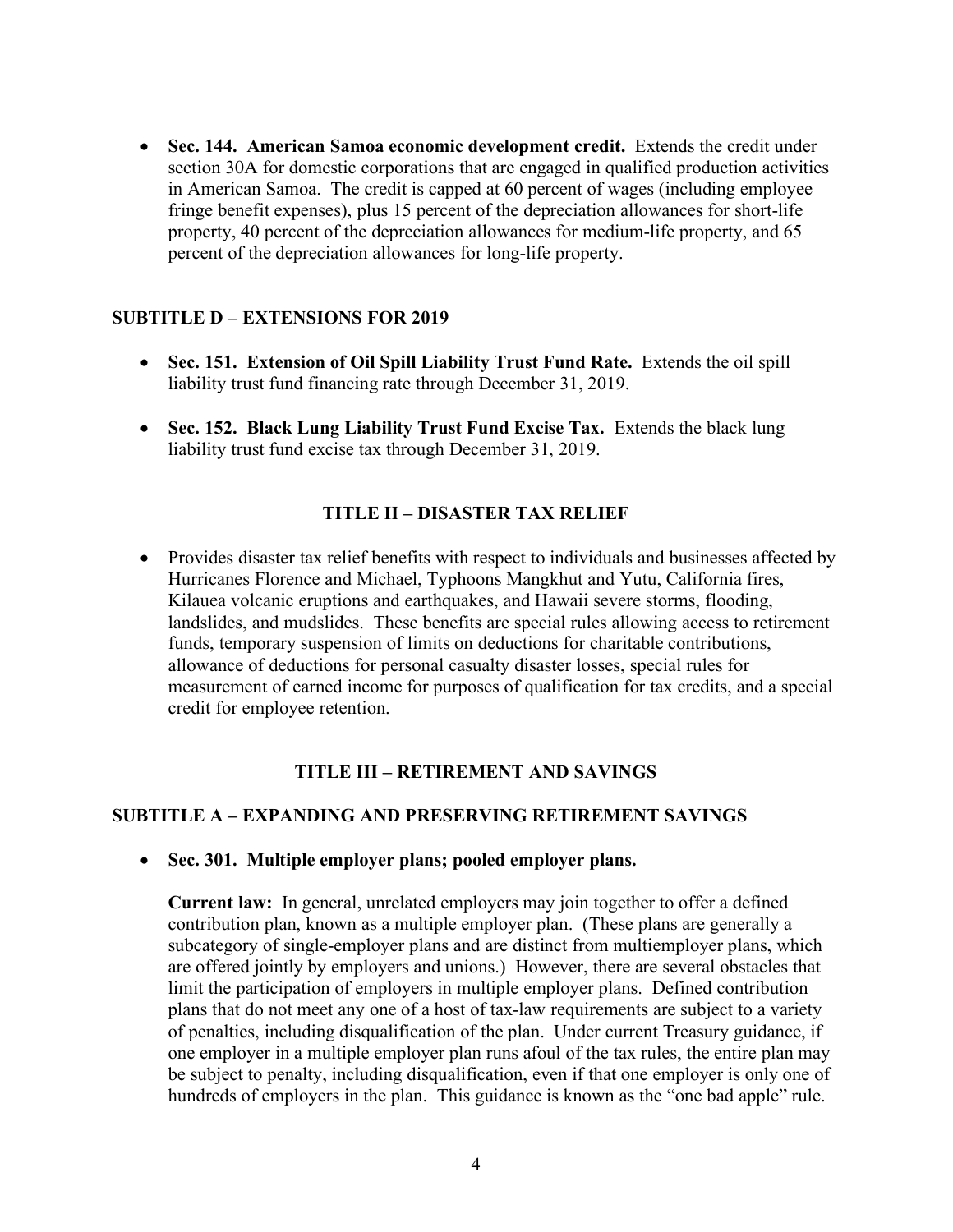• **Sec. 144. American Samoa economic development credit.** Extends the credit under section 30A for domestic corporations that are engaged in qualified production activities in American Samoa. The credit is capped at 60 percent of wages (including employee fringe benefit expenses), plus 15 percent of the depreciation allowances for short-life property, 40 percent of the depreciation allowances for medium-life property, and 65 percent of the depreciation allowances for long-life property.

## **SUBTITLE D – EXTENSIONS FOR 2019**

- **Sec. 151. Extension of Oil Spill Liability Trust Fund Rate.** Extends the oil spill liability trust fund financing rate through December 31, 2019.
- **Sec. 152. Black Lung Liability Trust Fund Excise Tax.** Extends the black lung liability trust fund excise tax through December 31, 2019.

#### **TITLE II – DISASTER TAX RELIEF**

• Provides disaster tax relief benefits with respect to individuals and businesses affected by Hurricanes Florence and Michael, Typhoons Mangkhut and Yutu, California fires, Kilauea volcanic eruptions and earthquakes, and Hawaii severe storms, flooding, landslides, and mudslides. These benefits are special rules allowing access to retirement funds, temporary suspension of limits on deductions for charitable contributions, allowance of deductions for personal casualty disaster losses, special rules for measurement of earned income for purposes of qualification for tax credits, and a special credit for employee retention.

#### **TITLE III – RETIREMENT AND SAVINGS**

#### **SUBTITLE A – EXPANDING AND PRESERVING RETIREMENT SAVINGS**

• **Sec. 301. Multiple employer plans; pooled employer plans.**

**Current law:** In general, unrelated employers may join together to offer a defined contribution plan, known as a multiple employer plan. (These plans are generally a subcategory of single-employer plans and are distinct from multiemployer plans, which are offered jointly by employers and unions.) However, there are several obstacles that limit the participation of employers in multiple employer plans. Defined contribution plans that do not meet any one of a host of tax-law requirements are subject to a variety of penalties, including disqualification of the plan. Under current Treasury guidance, if one employer in a multiple employer plan runs afoul of the tax rules, the entire plan may be subject to penalty, including disqualification, even if that one employer is only one of hundreds of employers in the plan. This guidance is known as the "one bad apple" rule.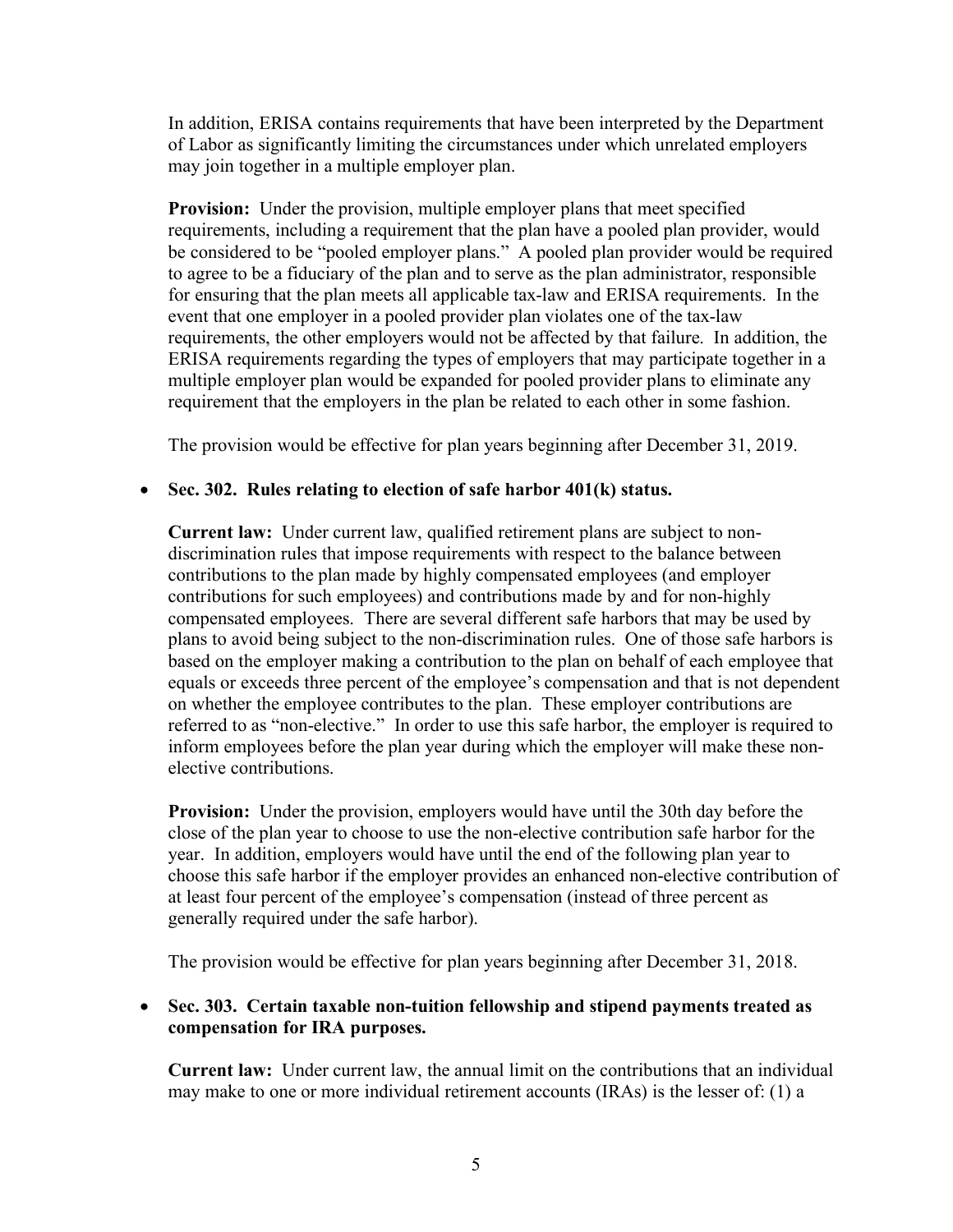In addition, ERISA contains requirements that have been interpreted by the Department of Labor as significantly limiting the circumstances under which unrelated employers may join together in a multiple employer plan.

**Provision:** Under the provision, multiple employer plans that meet specified requirements, including a requirement that the plan have a pooled plan provider, would be considered to be "pooled employer plans." A pooled plan provider would be required to agree to be a fiduciary of the plan and to serve as the plan administrator, responsible for ensuring that the plan meets all applicable tax-law and ERISA requirements. In the event that one employer in a pooled provider plan violates one of the tax-law requirements, the other employers would not be affected by that failure. In addition, the ERISA requirements regarding the types of employers that may participate together in a multiple employer plan would be expanded for pooled provider plans to eliminate any requirement that the employers in the plan be related to each other in some fashion.

The provision would be effective for plan years beginning after December 31, 2019.

#### • **Sec. 302. Rules relating to election of safe harbor 401(k) status.**

**Current law:** Under current law, qualified retirement plans are subject to nondiscrimination rules that impose requirements with respect to the balance between contributions to the plan made by highly compensated employees (and employer contributions for such employees) and contributions made by and for non-highly compensated employees. There are several different safe harbors that may be used by plans to avoid being subject to the non-discrimination rules. One of those safe harbors is based on the employer making a contribution to the plan on behalf of each employee that equals or exceeds three percent of the employee's compensation and that is not dependent on whether the employee contributes to the plan. These employer contributions are referred to as "non-elective." In order to use this safe harbor, the employer is required to inform employees before the plan year during which the employer will make these nonelective contributions.

**Provision:** Under the provision, employers would have until the 30th day before the close of the plan year to choose to use the non-elective contribution safe harbor for the year. In addition, employers would have until the end of the following plan year to choose this safe harbor if the employer provides an enhanced non-elective contribution of at least four percent of the employee's compensation (instead of three percent as generally required under the safe harbor).

The provision would be effective for plan years beginning after December 31, 2018.

• **Sec. 303. Certain taxable non-tuition fellowship and stipend payments treated as compensation for IRA purposes.**

**Current law:** Under current law, the annual limit on the contributions that an individual may make to one or more individual retirement accounts (IRAs) is the lesser of: (1) a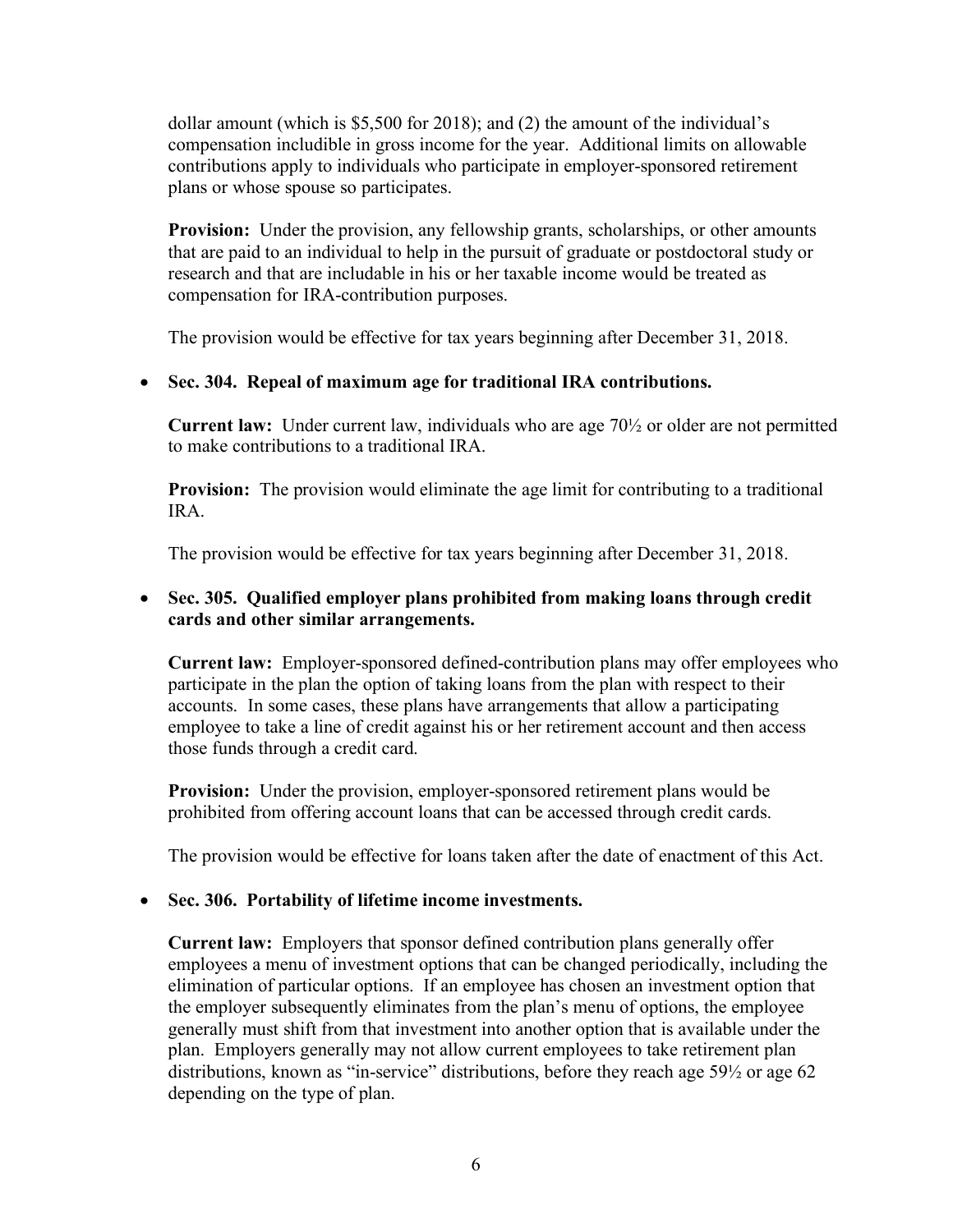dollar amount (which is \$5,500 for 2018); and (2) the amount of the individual's compensation includible in gross income for the year. Additional limits on allowable contributions apply to individuals who participate in employer-sponsored retirement plans or whose spouse so participates.

**Provision:** Under the provision, any fellowship grants, scholarships, or other amounts that are paid to an individual to help in the pursuit of graduate or postdoctoral study or research and that are includable in his or her taxable income would be treated as compensation for IRA-contribution purposes.

The provision would be effective for tax years beginning after December 31, 2018.

## • **Sec. 304. Repeal of maximum age for traditional IRA contributions.**

**Current law:** Under current law, individuals who are age 70½ or older are not permitted to make contributions to a traditional IRA.

**Provision:** The provision would eliminate the age limit for contributing to a traditional IRA.

The provision would be effective for tax years beginning after December 31, 2018.

#### • **Sec. 305. Qualified employer plans prohibited from making loans through credit cards and other similar arrangements.**

**Current law:** Employer-sponsored defined-contribution plans may offer employees who participate in the plan the option of taking loans from the plan with respect to their accounts. In some cases, these plans have arrangements that allow a participating employee to take a line of credit against his or her retirement account and then access those funds through a credit card.

**Provision:** Under the provision, employer-sponsored retirement plans would be prohibited from offering account loans that can be accessed through credit cards.

The provision would be effective for loans taken after the date of enactment of this Act.

#### • **Sec. 306. Portability of lifetime income investments.**

**Current law:** Employers that sponsor defined contribution plans generally offer employees a menu of investment options that can be changed periodically, including the elimination of particular options. If an employee has chosen an investment option that the employer subsequently eliminates from the plan's menu of options, the employee generally must shift from that investment into another option that is available under the plan. Employers generally may not allow current employees to take retirement plan distributions, known as "in-service" distributions, before they reach age 59½ or age 62 depending on the type of plan.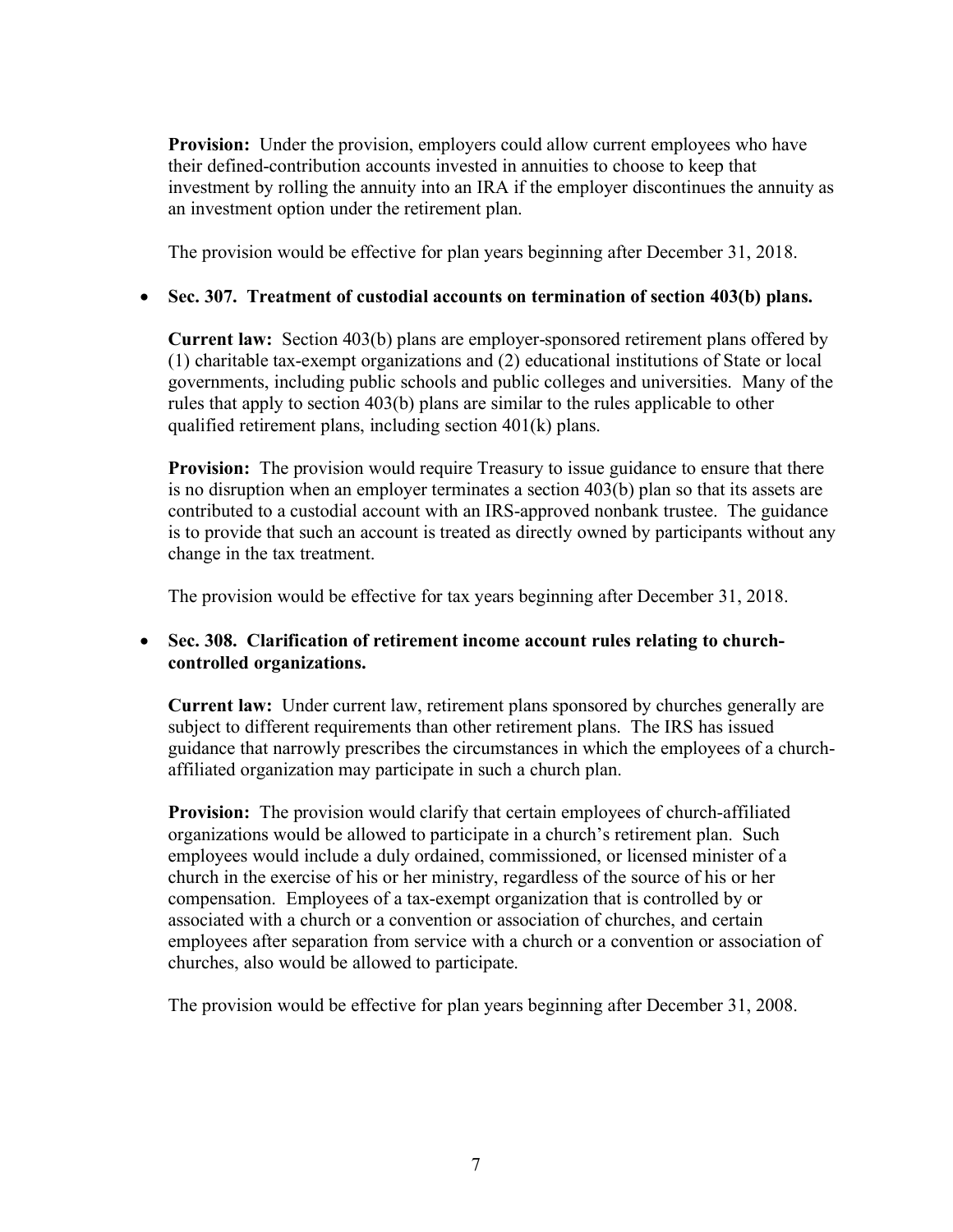**Provision:** Under the provision, employers could allow current employees who have their defined-contribution accounts invested in annuities to choose to keep that investment by rolling the annuity into an IRA if the employer discontinues the annuity as an investment option under the retirement plan.

The provision would be effective for plan years beginning after December 31, 2018.

## • **Sec. 307. Treatment of custodial accounts on termination of section 403(b) plans.**

**Current law:** Section 403(b) plans are employer-sponsored retirement plans offered by (1) charitable tax-exempt organizations and (2) educational institutions of State or local governments, including public schools and public colleges and universities. Many of the rules that apply to section 403(b) plans are similar to the rules applicable to other qualified retirement plans, including section 401(k) plans.

**Provision:** The provision would require Treasury to issue guidance to ensure that there is no disruption when an employer terminates a section 403(b) plan so that its assets are contributed to a custodial account with an IRS-approved nonbank trustee. The guidance is to provide that such an account is treated as directly owned by participants without any change in the tax treatment.

The provision would be effective for tax years beginning after December 31, 2018.

#### • **Sec. 308. Clarification of retirement income account rules relating to churchcontrolled organizations.**

**Current law:** Under current law, retirement plans sponsored by churches generally are subject to different requirements than other retirement plans. The IRS has issued guidance that narrowly prescribes the circumstances in which the employees of a churchaffiliated organization may participate in such a church plan.

**Provision:** The provision would clarify that certain employees of church-affiliated organizations would be allowed to participate in a church's retirement plan. Such employees would include a duly ordained, commissioned, or licensed minister of a church in the exercise of his or her ministry, regardless of the source of his or her compensation. Employees of a tax-exempt organization that is controlled by or associated with a church or a convention or association of churches, and certain employees after separation from service with a church or a convention or association of churches, also would be allowed to participate.

The provision would be effective for plan years beginning after December 31, 2008.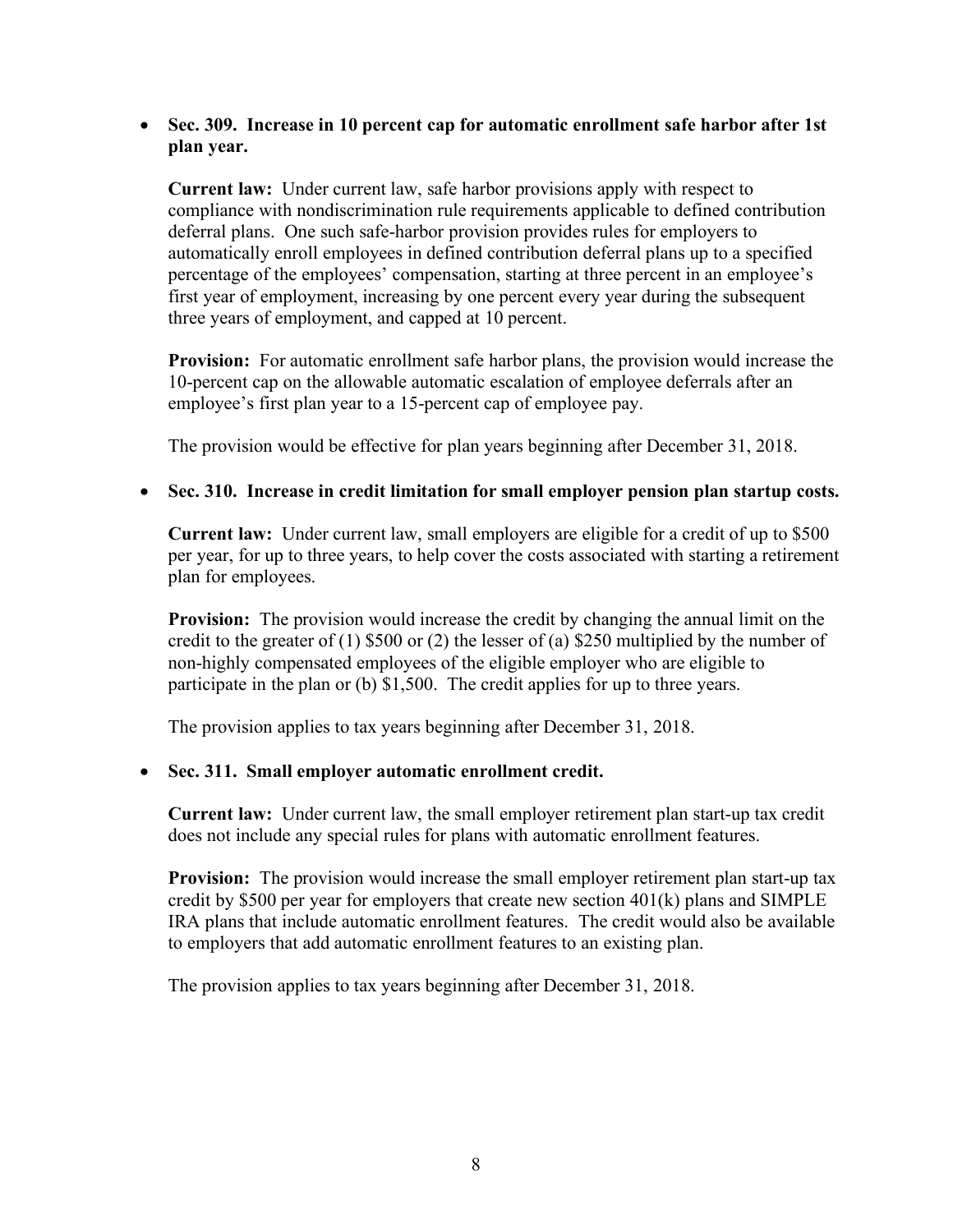#### • **Sec. 309. Increase in 10 percent cap for automatic enrollment safe harbor after 1st plan year.**

**Current law:** Under current law, safe harbor provisions apply with respect to compliance with nondiscrimination rule requirements applicable to defined contribution deferral plans. One such safe-harbor provision provides rules for employers to automatically enroll employees in defined contribution deferral plans up to a specified percentage of the employees' compensation, starting at three percent in an employee's first year of employment, increasing by one percent every year during the subsequent three years of employment, and capped at 10 percent.

**Provision:** For automatic enrollment safe harbor plans, the provision would increase the 10-percent cap on the allowable automatic escalation of employee deferrals after an employee's first plan year to a 15-percent cap of employee pay.

The provision would be effective for plan years beginning after December 31, 2018.

#### • **Sec. 310. Increase in credit limitation for small employer pension plan startup costs.**

**Current law:** Under current law, small employers are eligible for a credit of up to \$500 per year, for up to three years, to help cover the costs associated with starting a retirement plan for employees.

**Provision:** The provision would increase the credit by changing the annual limit on the credit to the greater of  $(1)$  \$500 or  $(2)$  the lesser of  $(a)$  \$250 multiplied by the number of non-highly compensated employees of the eligible employer who are eligible to participate in the plan or (b) \$1,500. The credit applies for up to three years.

The provision applies to tax years beginning after December 31, 2018.

## • **Sec. 311. Small employer automatic enrollment credit.**

**Current law:** Under current law, the small employer retirement plan start-up tax credit does not include any special rules for plans with automatic enrollment features.

**Provision:** The provision would increase the small employer retirement plan start-up tax credit by \$500 per year for employers that create new section 401(k) plans and SIMPLE IRA plans that include automatic enrollment features. The credit would also be available to employers that add automatic enrollment features to an existing plan.

The provision applies to tax years beginning after December 31, 2018.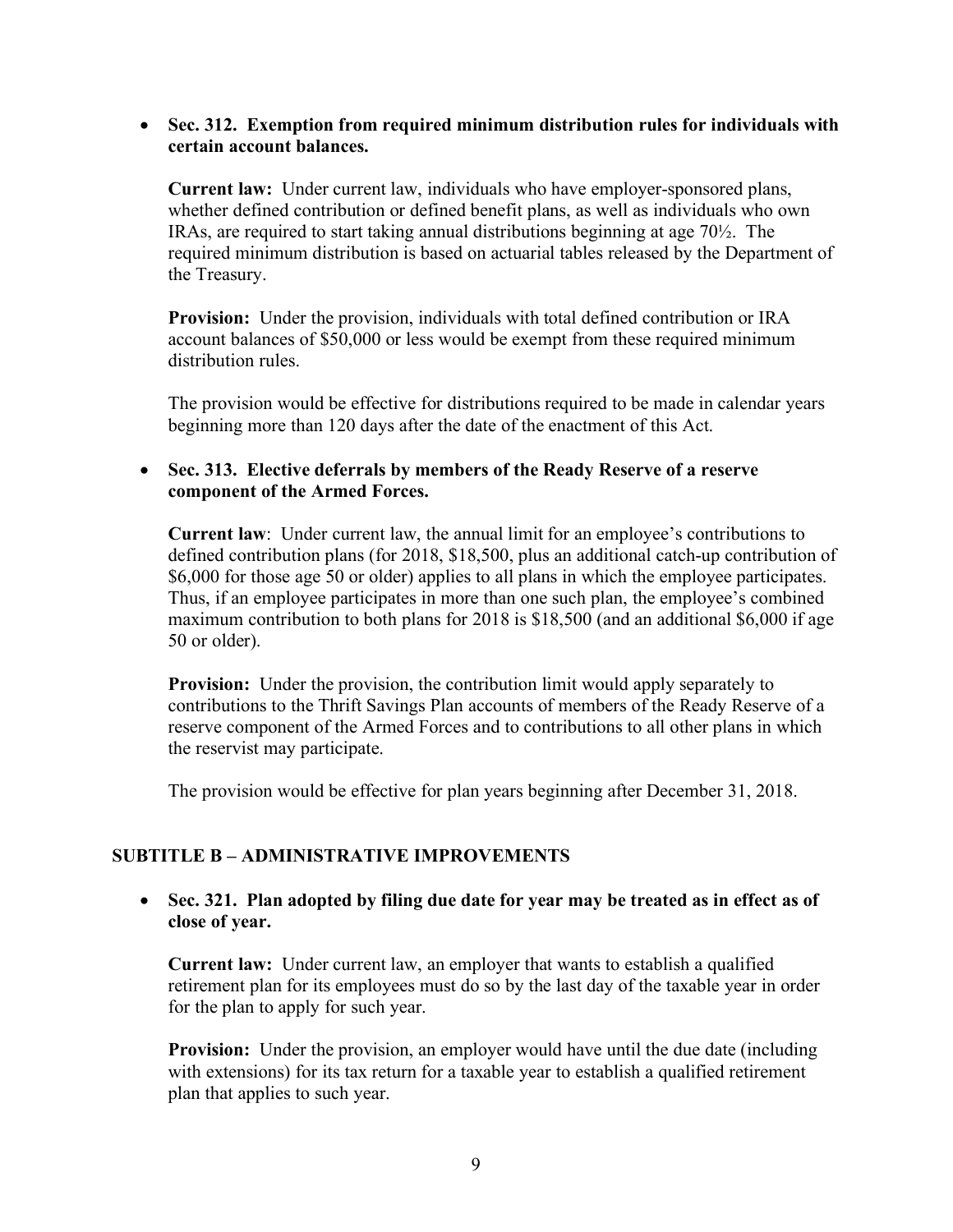#### • **Sec. 312. Exemption from required minimum distribution rules for individuals with certain account balances.**

**Current law:** Under current law, individuals who have employer-sponsored plans, whether defined contribution or defined benefit plans, as well as individuals who own IRAs, are required to start taking annual distributions beginning at age 70½. The required minimum distribution is based on actuarial tables released by the Department of the Treasury.

**Provision:** Under the provision, individuals with total defined contribution or IRA account balances of \$50,000 or less would be exempt from these required minimum distribution rules.

The provision would be effective for distributions required to be made in calendar years beginning more than 120 days after the date of the enactment of this Act.

#### • **Sec. 313. Elective deferrals by members of the Ready Reserve of a reserve component of the Armed Forces.**

**Current law**: Under current law, the annual limit for an employee's contributions to defined contribution plans (for 2018, \$18,500, plus an additional catch-up contribution of \$6,000 for those age 50 or older) applies to all plans in which the employee participates. Thus, if an employee participates in more than one such plan, the employee's combined maximum contribution to both plans for 2018 is \$18,500 (and an additional \$6,000 if age 50 or older).

**Provision:** Under the provision, the contribution limit would apply separately to contributions to the Thrift Savings Plan accounts of members of the Ready Reserve of a reserve component of the Armed Forces and to contributions to all other plans in which the reservist may participate.

The provision would be effective for plan years beginning after December 31, 2018.

## **SUBTITLE B – ADMINISTRATIVE IMPROVEMENTS**

• **Sec. 321. Plan adopted by filing due date for year may be treated as in effect as of close of year.**

**Current law:** Under current law, an employer that wants to establish a qualified retirement plan for its employees must do so by the last day of the taxable year in order for the plan to apply for such year.

**Provision:** Under the provision, an employer would have until the due date (including with extensions) for its tax return for a taxable year to establish a qualified retirement plan that applies to such year.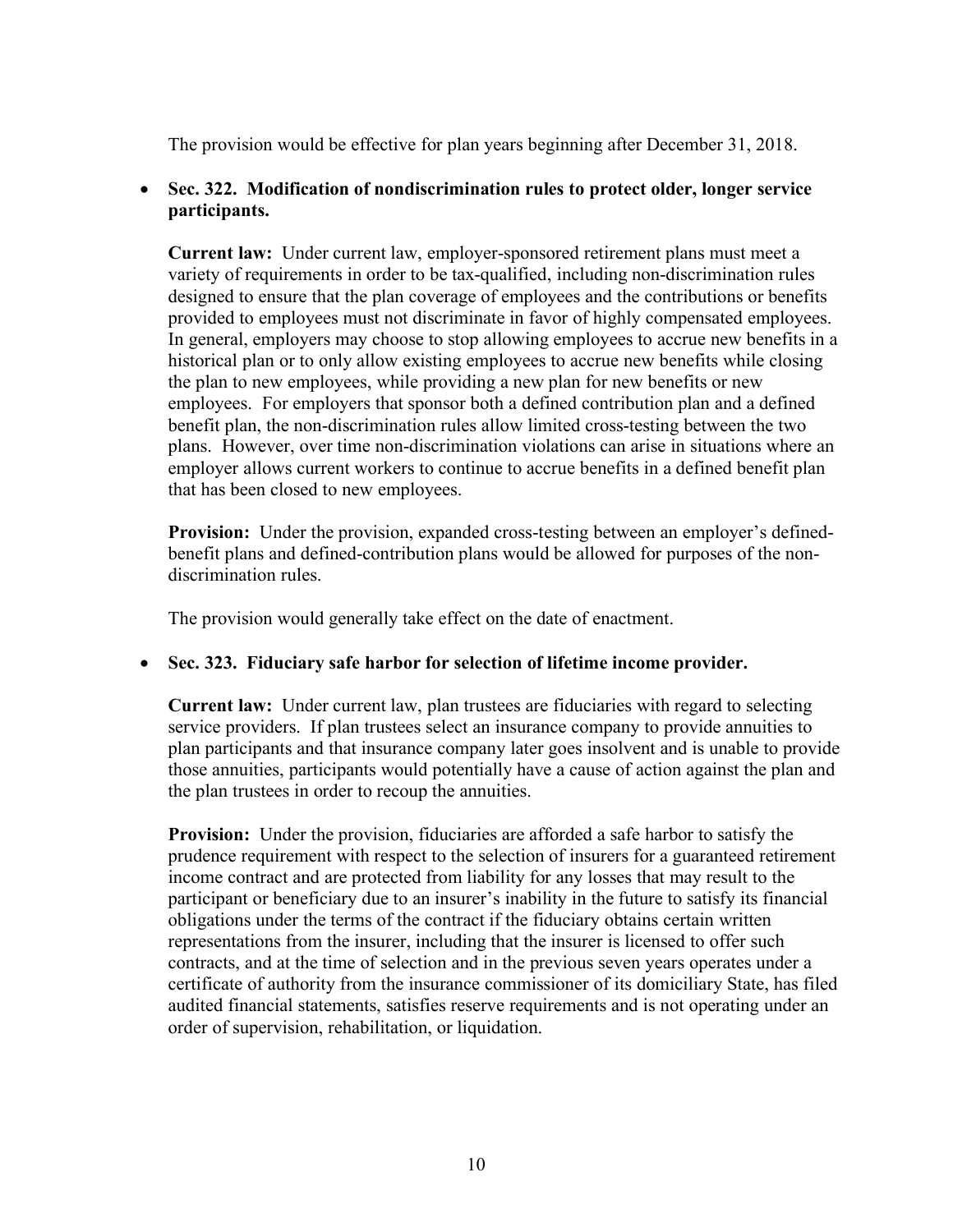The provision would be effective for plan years beginning after December 31, 2018.

## • **Sec. 322. Modification of nondiscrimination rules to protect older, longer service participants.**

**Current law:** Under current law, employer-sponsored retirement plans must meet a variety of requirements in order to be tax-qualified, including non-discrimination rules designed to ensure that the plan coverage of employees and the contributions or benefits provided to employees must not discriminate in favor of highly compensated employees. In general, employers may choose to stop allowing employees to accrue new benefits in a historical plan or to only allow existing employees to accrue new benefits while closing the plan to new employees, while providing a new plan for new benefits or new employees. For employers that sponsor both a defined contribution plan and a defined benefit plan, the non-discrimination rules allow limited cross-testing between the two plans. However, over time non-discrimination violations can arise in situations where an employer allows current workers to continue to accrue benefits in a defined benefit plan that has been closed to new employees.

**Provision:** Under the provision, expanded cross-testing between an employer's definedbenefit plans and defined-contribution plans would be allowed for purposes of the nondiscrimination rules.

The provision would generally take effect on the date of enactment.

#### • **Sec. 323. Fiduciary safe harbor for selection of lifetime income provider.**

**Current law:** Under current law, plan trustees are fiduciaries with regard to selecting service providers. If plan trustees select an insurance company to provide annuities to plan participants and that insurance company later goes insolvent and is unable to provide those annuities, participants would potentially have a cause of action against the plan and the plan trustees in order to recoup the annuities.

**Provision:** Under the provision, fiduciaries are afforded a safe harbor to satisfy the prudence requirement with respect to the selection of insurers for a guaranteed retirement income contract and are protected from liability for any losses that may result to the participant or beneficiary due to an insurer's inability in the future to satisfy its financial obligations under the terms of the contract if the fiduciary obtains certain written representations from the insurer, including that the insurer is licensed to offer such contracts, and at the time of selection and in the previous seven years operates under a certificate of authority from the insurance commissioner of its domiciliary State, has filed audited financial statements, satisfies reserve requirements and is not operating under an order of supervision, rehabilitation, or liquidation.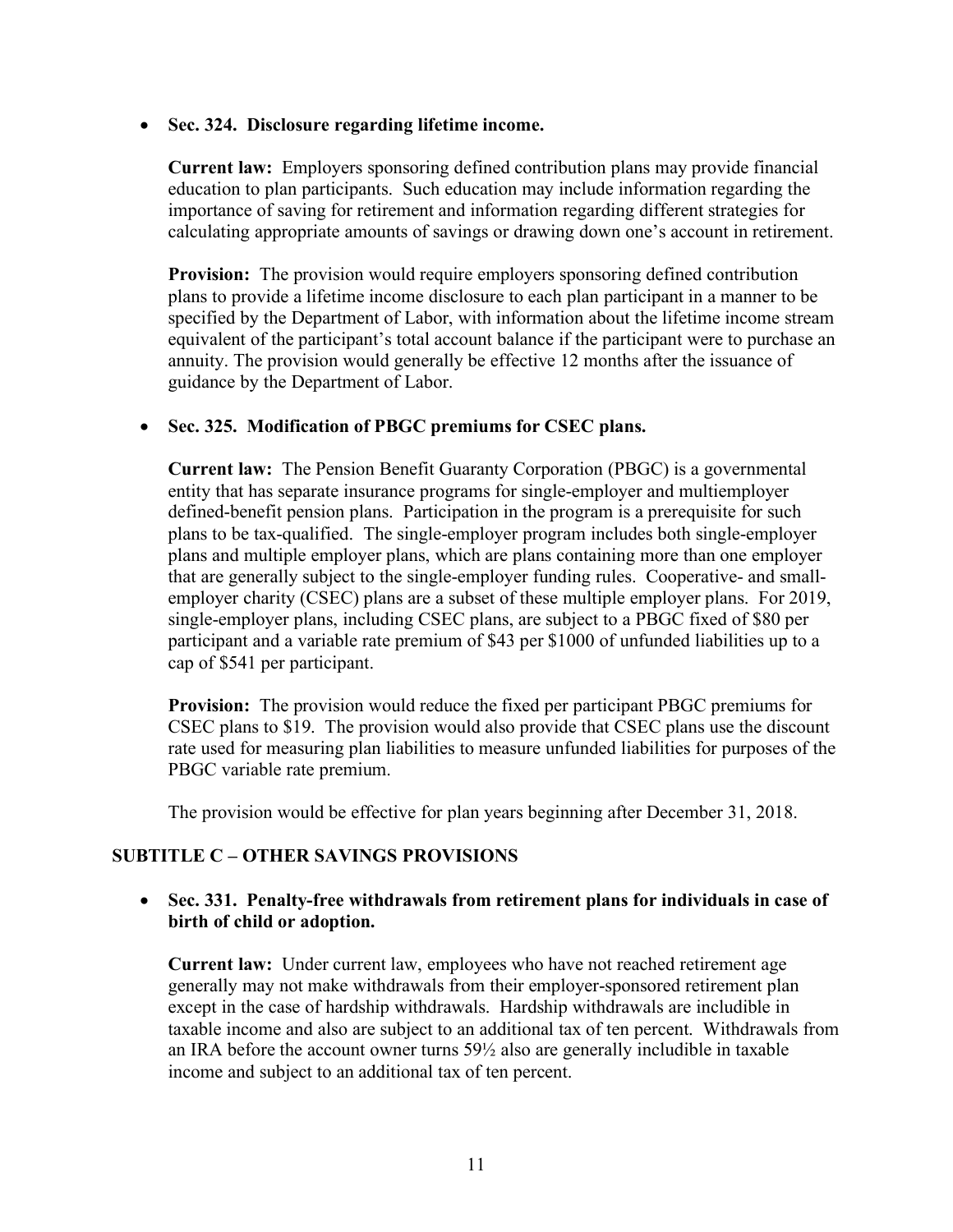• **Sec. 324. Disclosure regarding lifetime income.**

**Current law:** Employers sponsoring defined contribution plans may provide financial education to plan participants. Such education may include information regarding the importance of saving for retirement and information regarding different strategies for calculating appropriate amounts of savings or drawing down one's account in retirement.

**Provision:** The provision would require employers sponsoring defined contribution plans to provide a lifetime income disclosure to each plan participant in a manner to be specified by the Department of Labor, with information about the lifetime income stream equivalent of the participant's total account balance if the participant were to purchase an annuity. The provision would generally be effective 12 months after the issuance of guidance by the Department of Labor.

#### • **Sec. 325. Modification of PBGC premiums for CSEC plans.**

**Current law:** The Pension Benefit Guaranty Corporation (PBGC) is a governmental entity that has separate insurance programs for single-employer and multiemployer defined-benefit pension plans. Participation in the program is a prerequisite for such plans to be tax-qualified. The single-employer program includes both single-employer plans and multiple employer plans, which are plans containing more than one employer that are generally subject to the single-employer funding rules. Cooperative- and smallemployer charity (CSEC) plans are a subset of these multiple employer plans. For 2019, single-employer plans, including CSEC plans, are subject to a PBGC fixed of \$80 per participant and a variable rate premium of \$43 per \$1000 of unfunded liabilities up to a cap of \$541 per participant.

**Provision:** The provision would reduce the fixed per participant PBGC premiums for CSEC plans to \$19. The provision would also provide that CSEC plans use the discount rate used for measuring plan liabilities to measure unfunded liabilities for purposes of the PBGC variable rate premium.

The provision would be effective for plan years beginning after December 31, 2018.

## **SUBTITLE C – OTHER SAVINGS PROVISIONS**

#### • **Sec. 331. Penalty-free withdrawals from retirement plans for individuals in case of birth of child or adoption.**

**Current law:** Under current law, employees who have not reached retirement age generally may not make withdrawals from their employer-sponsored retirement plan except in the case of hardship withdrawals. Hardship withdrawals are includible in taxable income and also are subject to an additional tax of ten percent. Withdrawals from an IRA before the account owner turns  $59\frac{1}{2}$  also are generally includible in taxable income and subject to an additional tax of ten percent.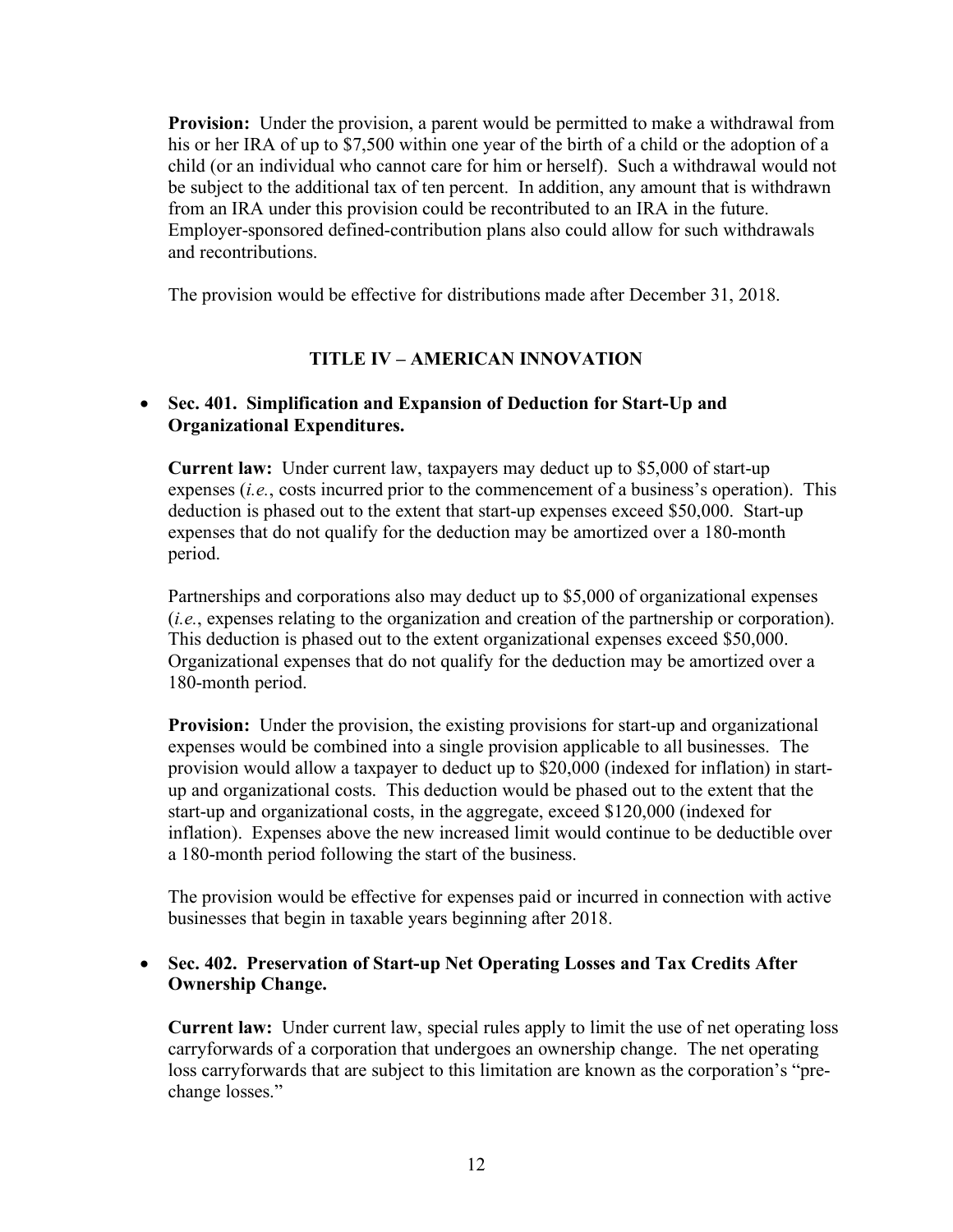**Provision:** Under the provision, a parent would be permitted to make a withdrawal from his or her IRA of up to \$7,500 within one year of the birth of a child or the adoption of a child (or an individual who cannot care for him or herself). Such a withdrawal would not be subject to the additional tax of ten percent. In addition, any amount that is withdrawn from an IRA under this provision could be recontributed to an IRA in the future. Employer-sponsored defined-contribution plans also could allow for such withdrawals and recontributions.

The provision would be effective for distributions made after December 31, 2018.

## **TITLE IV – AMERICAN INNOVATION**

## • **Sec. 401. Simplification and Expansion of Deduction for Start-Up and Organizational Expenditures.**

**Current law:** Under current law, taxpayers may deduct up to \$5,000 of start-up expenses (*i.e.*, costs incurred prior to the commencement of a business's operation). This deduction is phased out to the extent that start-up expenses exceed \$50,000. Start-up expenses that do not qualify for the deduction may be amortized over a 180-month period.

Partnerships and corporations also may deduct up to \$5,000 of organizational expenses (*i.e.*, expenses relating to the organization and creation of the partnership or corporation). This deduction is phased out to the extent organizational expenses exceed \$50,000. Organizational expenses that do not qualify for the deduction may be amortized over a 180-month period.

**Provision:** Under the provision, the existing provisions for start-up and organizational expenses would be combined into a single provision applicable to all businesses. The provision would allow a taxpayer to deduct up to \$20,000 (indexed for inflation) in startup and organizational costs. This deduction would be phased out to the extent that the start-up and organizational costs, in the aggregate, exceed \$120,000 (indexed for inflation). Expenses above the new increased limit would continue to be deductible over a 180-month period following the start of the business.

The provision would be effective for expenses paid or incurred in connection with active businesses that begin in taxable years beginning after 2018.

## • **Sec. 402. Preservation of Start-up Net Operating Losses and Tax Credits After Ownership Change.**

**Current law:** Under current law, special rules apply to limit the use of net operating loss carryforwards of a corporation that undergoes an ownership change. The net operating loss carryforwards that are subject to this limitation are known as the corporation's "prechange losses."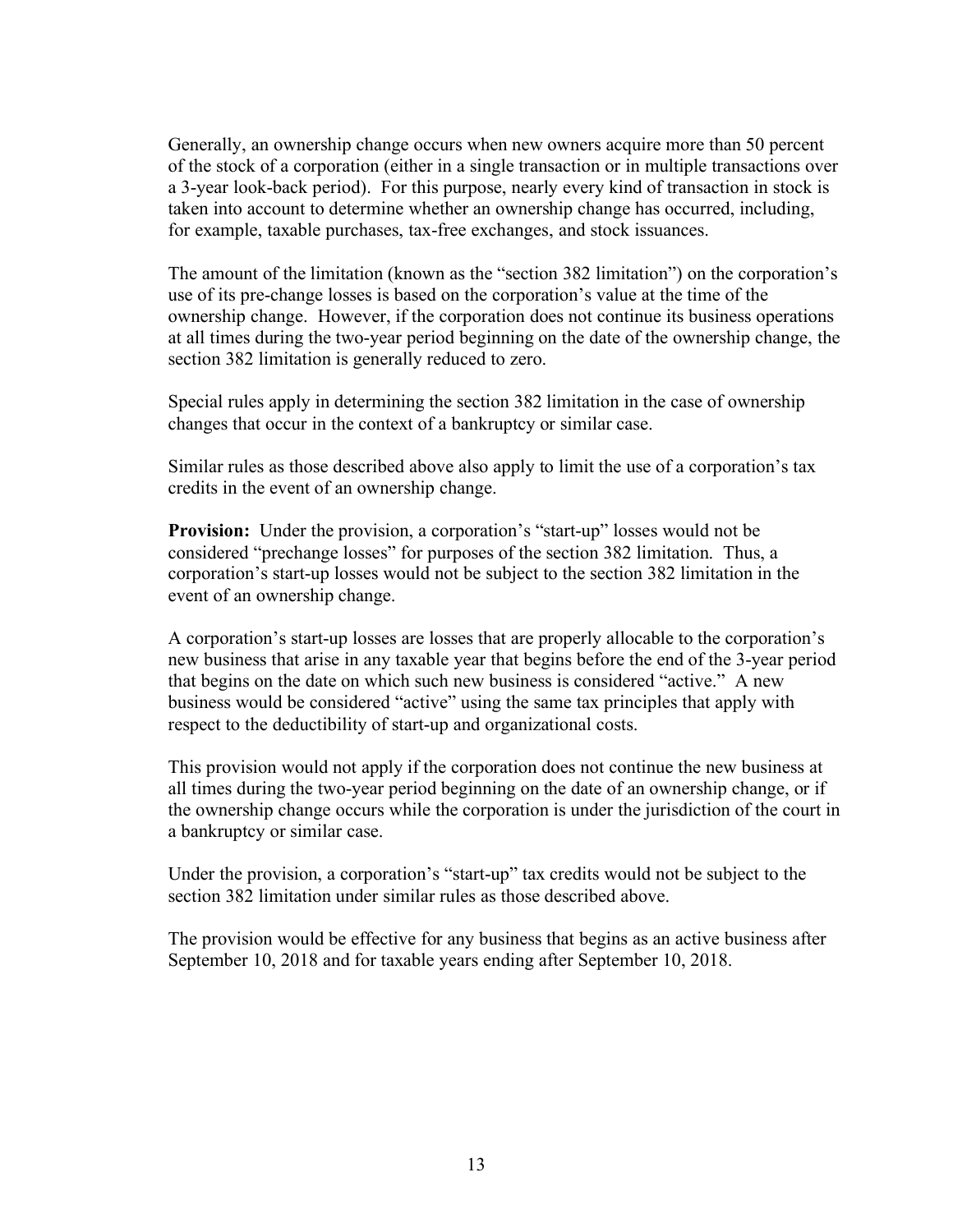Generally, an ownership change occurs when new owners acquire more than 50 percent of the stock of a corporation (either in a single transaction or in multiple transactions over a 3-year look-back period). For this purpose, nearly every kind of transaction in stock is taken into account to determine whether an ownership change has occurred, including, for example, taxable purchases, tax-free exchanges, and stock issuances.

The amount of the limitation (known as the "section 382 limitation") on the corporation's use of its pre-change losses is based on the corporation's value at the time of the ownership change. However, if the corporation does not continue its business operations at all times during the two-year period beginning on the date of the ownership change, the section 382 limitation is generally reduced to zero.

Special rules apply in determining the section 382 limitation in the case of ownership changes that occur in the context of a bankruptcy or similar case.

Similar rules as those described above also apply to limit the use of a corporation's tax credits in the event of an ownership change.

**Provision:** Under the provision, a corporation's "start-up" losses would not be considered "prechange losses" for purposes of the section 382 limitation. Thus, a corporation's start-up losses would not be subject to the section 382 limitation in the event of an ownership change.

A corporation's start-up losses are losses that are properly allocable to the corporation's new business that arise in any taxable year that begins before the end of the 3-year period that begins on the date on which such new business is considered "active." A new business would be considered "active" using the same tax principles that apply with respect to the deductibility of start-up and organizational costs.

This provision would not apply if the corporation does not continue the new business at all times during the two-year period beginning on the date of an ownership change, or if the ownership change occurs while the corporation is under the jurisdiction of the court in a bankruptcy or similar case.

Under the provision, a corporation's "start-up" tax credits would not be subject to the section 382 limitation under similar rules as those described above.

The provision would be effective for any business that begins as an active business after September 10, 2018 and for taxable years ending after September 10, 2018.